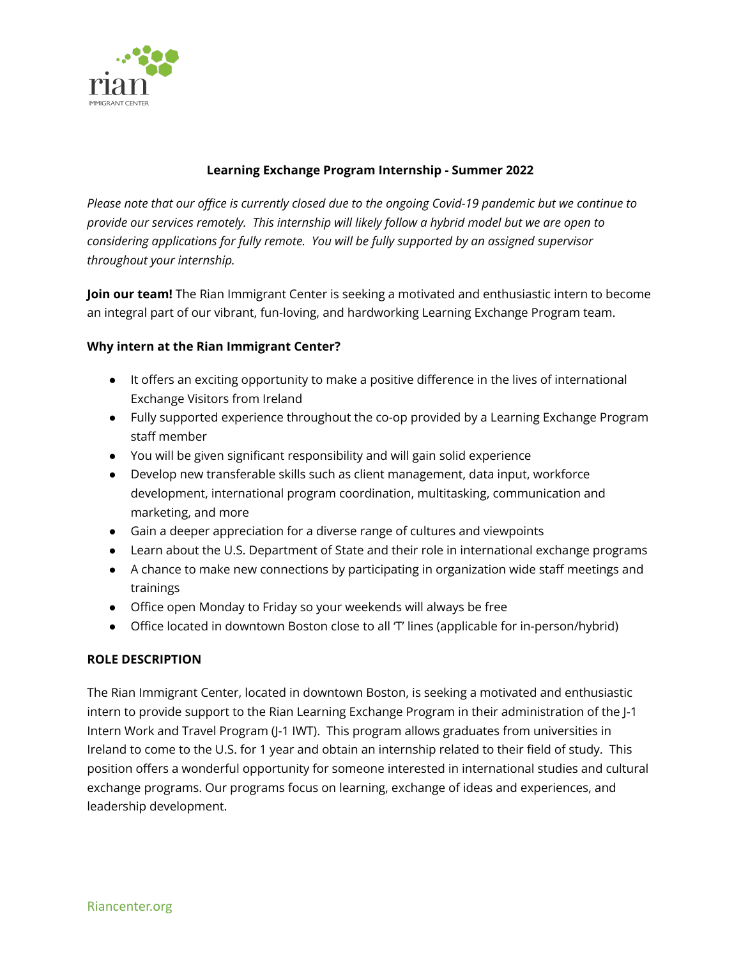

# **Learning Exchange Program Internship - Summer 2022**

Please note that our office is currently closed due to the ongoing Covid-19 pandemic but we continue to *provide our services remotely. This internship will likely follow a hybrid model but we are open to considering applications for fully remote. You will be fully supported by an assigned supervisor throughout your internship.*

**Join our team!** The Rian Immigrant Center is seeking a motivated and enthusiastic intern to become an integral part of our vibrant, fun-loving, and hardworking Learning Exchange Program team.

# **Why intern at the Rian Immigrant Center?**

- It offers an exciting opportunity to make a positive difference in the lives of international Exchange Visitors from Ireland
- Fully supported experience throughout the co-op provided by a Learning Exchange Program staff member
- You will be given significant responsibility and will gain solid experience
- Develop new transferable skills such as client management, data input, workforce development, international program coordination, multitasking, communication and marketing, and more
- Gain a deeper appreciation for a diverse range of cultures and viewpoints
- Learn about the U.S. Department of State and their role in international exchange programs
- A chance to make new connections by participating in organization wide staff meetings and trainings
- Office open Monday to Friday so your weekends will always be free
- Office located in downtown Boston close to all 'T' lines (applicable for in-person/hybrid)

## **ROLE DESCRIPTION**

The Rian Immigrant Center, located in downtown Boston, is seeking a motivated and enthusiastic intern to provide support to the Rian Learning Exchange Program in their administration of the J-1 Intern Work and Travel Program (J-1 IWT). This program allows graduates from universities in Ireland to come to the U.S. for 1 year and obtain an internship related to their field of study. This position offers a wonderful opportunity for someone interested in international studies and cultural exchange programs. Our programs focus on learning, exchange of ideas and experiences, and leadership development.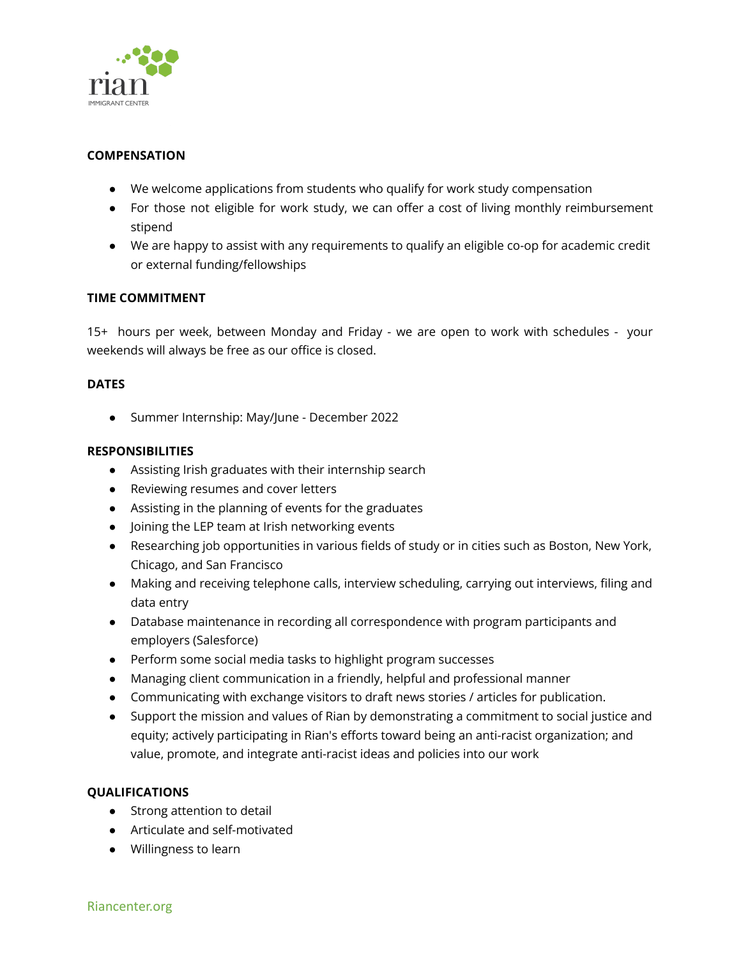

## **COMPENSATION**

- We welcome applications from students who qualify for work study compensation
- For those not eligible for work study, we can offer a cost of living monthly reimbursement stipend
- We are happy to assist with any requirements to qualify an eligible co-op for academic credit or external funding/fellowships

#### **TIME COMMITMENT**

15+ hours per week, between Monday and Friday - we are open to work with schedules - your weekends will always be free as our office is closed.

#### **DATES**

● Summer Internship: May/June - December 2022

#### **RESPONSIBILITIES**

- Assisting Irish graduates with their internship search
- Reviewing resumes and cover letters
- Assisting in the planning of events for the graduates
- Joining the LEP team at Irish networking events
- Researching job opportunities in various fields of study or in cities such as Boston, New York, Chicago, and San Francisco
- Making and receiving telephone calls, interview scheduling, carrying out interviews, filing and data entry
- Database maintenance in recording all correspondence with program participants and employers (Salesforce)
- Perform some social media tasks to highlight program successes
- Managing client communication in a friendly, helpful and professional manner
- Communicating with exchange visitors to draft news stories / articles for publication.
- Support the mission and values of Rian by demonstrating a commitment to social justice and equity; actively participating in Rian's efforts toward being an anti-racist organization; and value, promote, and integrate anti-racist ideas and policies into our work

#### **QUALIFICATIONS**

- Strong attention to detail
- Articulate and self-motivated
- Willingness to learn